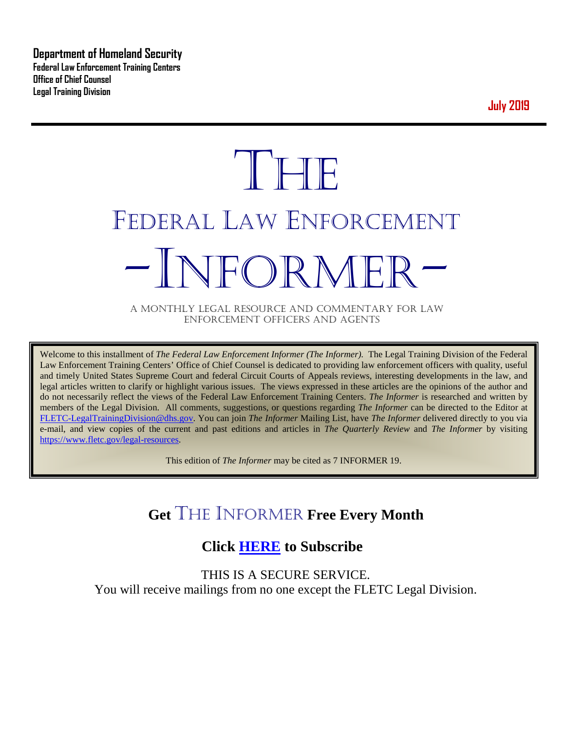**Department of Homeland Security Federal Law Enforcement Training Centers Office of Chief Counsel Legal Training Division** 

**July 2019**

# **THE** FEDERAL LAW ENFORCEMENT -INFORMER- A MONTHLY LEGAL RESOURCE AND COMMENTARY FOR LAW

ENFORCEMENT OFFICERS AND AGENTS

Welcome to this installment of *The Federal Law Enforcement Informer (The Informer).* The Legal Training Division of the Federal Law Enforcement Training Centers' Office of Chief Counsel is dedicated to providing law enforcement officers with quality, useful and timely United States Supreme Court and federal Circuit Courts of Appeals reviews, interesting developments in the law, and legal articles written to clarify or highlight various issues. The views expressed in these articles are the opinions of the author and do not necessarily reflect the views of the Federal Law Enforcement Training Centers. *The Informer* is researched and written by members of the Legal Division. All comments, suggestions, or questions regarding *The Informer* can be directed to the Editor at [FLETC-LegalTrainingDivision@dhs.gov.](mailto:FLETC-LegalTrainingDivision@dhs.gov) You can join *The Informer* Mailing List, have *The Informer* delivered directly to you via e-mail, and view copies of the current and past editions and articles in *The Quarterly Review* and *The Informer* by visiting [https://www.fletc.gov/legal-resources.](https://www.fletc.gov/legal-resources)

This edition of *The Informer* may be cited as 7 INFORMER 19.

## **Get** THE INFORMER **Free Every Month**

## **Click [HERE](https://app.co-sender.com/opt-in/list/7b007eab-378b-4542-807f-44d6de94cb7e) to Subscribe**

THIS IS A SECURE SERVICE. You will receive mailings from no one except the FLETC Legal Division.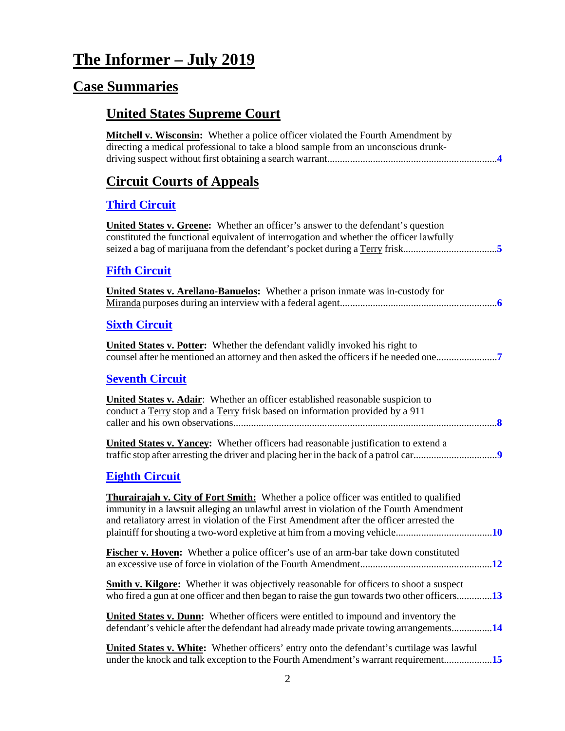## **The Informer – July 2019**

## **Case Summaries**

## **United States Supreme Court**

| <b>Mitchell v. Wisconsin:</b> Whether a police officer violated the Fourth Amendment by<br>directing a medical professional to take a blood sample from an unconscious drunk-                                                                                                       |
|-------------------------------------------------------------------------------------------------------------------------------------------------------------------------------------------------------------------------------------------------------------------------------------|
| <b>Circuit Courts of Appeals</b>                                                                                                                                                                                                                                                    |
| <b>Third Circuit</b>                                                                                                                                                                                                                                                                |
| <b>United States v. Greene:</b> Whether an officer's answer to the defendant's question<br>constituted the functional equivalent of interrogation and whether the officer lawfully<br>seized a bag of marijuana from the defendant's pocket during a Terry frisk5                   |
| <b>Fifth Circuit</b>                                                                                                                                                                                                                                                                |
| <b>United States v. Arellano-Banuelos:</b> Whether a prison inmate was in-custody for                                                                                                                                                                                               |
| <b>Sixth Circuit</b>                                                                                                                                                                                                                                                                |
| United States v. Potter: Whether the defendant validly invoked his right to                                                                                                                                                                                                         |
| <b>Seventh Circuit</b>                                                                                                                                                                                                                                                              |
| <b>United States v. Adair:</b> Whether an officer established reasonable suspicion to<br>conduct a Terry stop and a Terry frisk based on information provided by a 911                                                                                                              |
| <b>United States v. Yancey:</b> Whether officers had reasonable justification to extend a                                                                                                                                                                                           |
| <b>Eighth Circuit</b>                                                                                                                                                                                                                                                               |
| <b>Thurairajah v. City of Fort Smith:</b> Whether a police officer was entitled to qualified<br>immunity in a lawsuit alleging an unlawful arrest in violation of the Fourth Amendment<br>and retaliatory arrest in violation of the First Amendment after the officer arrested the |
| Fischer v. Hoven: Whether a police officer's use of an arm-bar take down constituted                                                                                                                                                                                                |
| <b>Smith v. Kilgore:</b> Whether it was objectively reasonable for officers to shoot a suspect<br>who fired a gun at one officer and then began to raise the gun towards two other officers13                                                                                       |
| <b>United States v. Dunn:</b> Whether officers were entitled to impound and inventory the<br>defendant's vehicle after the defendant had already made private towing arrangements14                                                                                                 |
| <b>United States v. White:</b> Whether officers' entry onto the defendant's curtilage was lawful<br>under the knock and talk exception to the Fourth Amendment's warrant requirement15                                                                                              |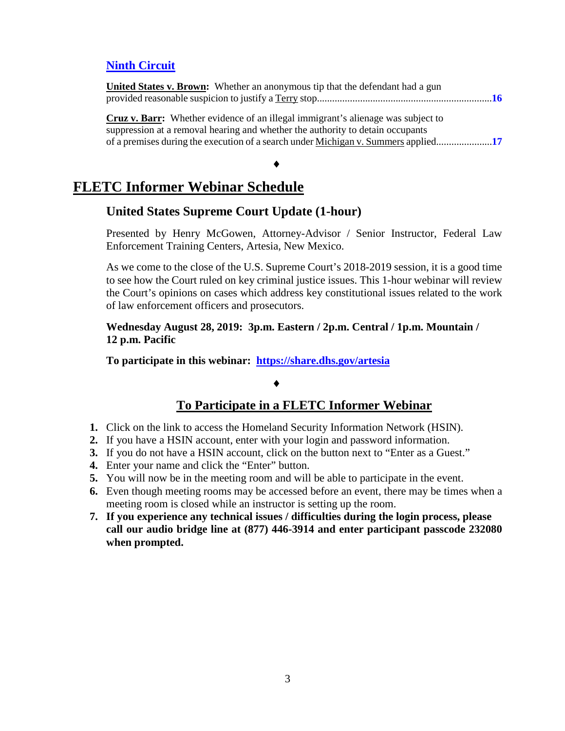## **[Ninth Circuit](#page-15-0)**

| <b>United States v. Brown:</b> Whether an anonymous tip that the defendant had a gun    |  |
|-----------------------------------------------------------------------------------------|--|
|                                                                                         |  |
| <b>Cruz v. Barr:</b> Whether evidence of an illegal immigrant's alienage was subject to |  |
| suppression at a removal hearing and whether the authority to detain occupants          |  |
|                                                                                         |  |

#### ♦

## **FLETC Informer Webinar Schedule**

## **United States Supreme Court Update (1-hour)**

Presented by Henry McGowen, Attorney-Advisor / Senior Instructor, Federal Law Enforcement Training Centers, Artesia, New Mexico.

As we come to the close of the U.S. Supreme Court's 2018-2019 session, it is a good time to see how the Court ruled on key criminal justice issues. This 1-hour webinar will review the Court's opinions on cases which address key constitutional issues related to the work of law enforcement officers and prosecutors.

## **Wednesday August 28, 2019: 3p.m. Eastern / 2p.m. Central / 1p.m. Mountain / 12 p.m. Pacific**

**To participate in this webinar: <https://share.dhs.gov/artesia>**

## ♦

## **To Participate in a FLETC Informer Webinar**

- **1.** Click on the link to access the Homeland Security Information Network (HSIN).
- **2.** If you have a HSIN account, enter with your login and password information.
- **3.** If you do not have a HSIN account, click on the button next to "Enter as a Guest."
- **4.** Enter your name and click the "Enter" button.
- **5.** You will now be in the meeting room and will be able to participate in the event.
- **6.** Even though meeting rooms may be accessed before an event, there may be times when a meeting room is closed while an instructor is setting up the room.
- **7. If you experience any technical issues / difficulties during the login process, please call our audio bridge line at (877) 446-3914 and enter participant passcode 232080 when prompted.**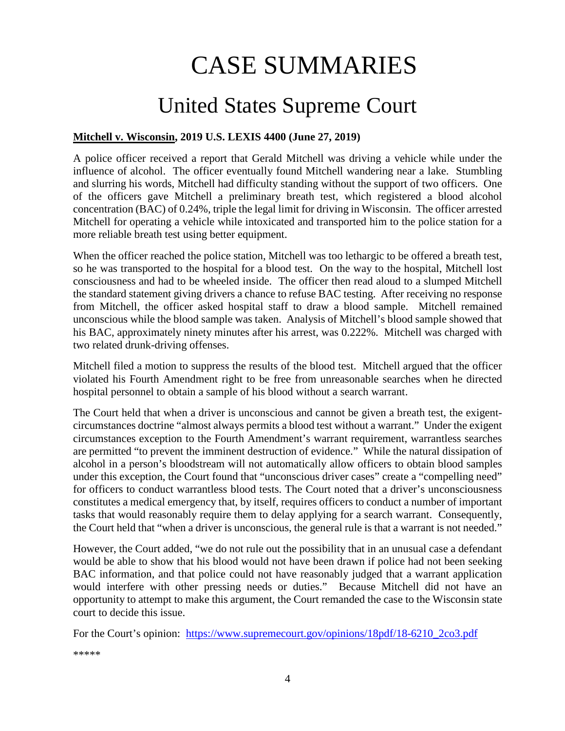# CASE SUMMARIES

# United States Supreme Court

#### <span id="page-3-1"></span><span id="page-3-0"></span>**Mitchell v. Wisconsin, 2019 U.S. LEXIS 4400 (June 27, 2019)**

A police officer received a report that Gerald Mitchell was driving a vehicle while under the influence of alcohol. The officer eventually found Mitchell wandering near a lake. Stumbling and slurring his words, Mitchell had difficulty standing without the support of two officers. One of the officers gave Mitchell a preliminary breath test, which registered a blood alcohol concentration (BAC) of 0.24%, triple the legal limit for driving in Wisconsin. The officer arrested Mitchell for operating a vehicle while intoxicated and transported him to the police station for a more reliable breath test using better equipment.

When the officer reached the police station, Mitchell was too lethargic to be offered a breath test, so he was transported to the hospital for a blood test. On the way to the hospital, Mitchell lost consciousness and had to be wheeled inside. The officer then read aloud to a slumped Mitchell the standard statement giving drivers a chance to refuse BAC testing. After receiving no response from Mitchell, the officer asked hospital staff to draw a blood sample. Mitchell remained unconscious while the blood sample was taken. Analysis of Mitchell's blood sample showed that his BAC, approximately ninety minutes after his arrest, was 0.222%. Mitchell was charged with two related drunk-driving offenses.

Mitchell filed a motion to suppress the results of the blood test. Mitchell argued that the officer violated his Fourth Amendment right to be free from unreasonable searches when he directed hospital personnel to obtain a sample of his blood without a search warrant.

The Court held that when a driver is unconscious and cannot be given a breath test, the exigentcircumstances doctrine "almost always permits a blood test without a warrant." Under the exigent circumstances exception to the Fourth Amendment's warrant requirement, warrantless searches are permitted "to prevent the imminent destruction of evidence." While the natural dissipation of alcohol in a person's bloodstream will not automatically allow officers to obtain blood samples under this exception, the Court found that "unconscious driver cases" create a "compelling need" for officers to conduct warrantless blood tests. The Court noted that a driver's unconsciousness constitutes a medical emergency that, by itself, requires officers to conduct a number of important tasks that would reasonably require them to delay applying for a search warrant. Consequently, the Court held that "when a driver is unconscious, the general rule is that a warrant is not needed."

However, the Court added, "we do not rule out the possibility that in an unusual case a defendant would be able to show that his blood would not have been drawn if police had not been seeking BAC information, and that police could not have reasonably judged that a warrant application would interfere with other pressing needs or duties." Because Mitchell did not have an opportunity to attempt to make this argument, the Court remanded the case to the Wisconsin state court to decide this issue.

For the Court's opinion: [https://www.supremecourt.gov/opinions/18pdf/18-6210\\_2co3.pdf](https://www.supremecourt.gov/opinions/18pdf/18-6210_2co3.pdf)

\*\*\*\*\*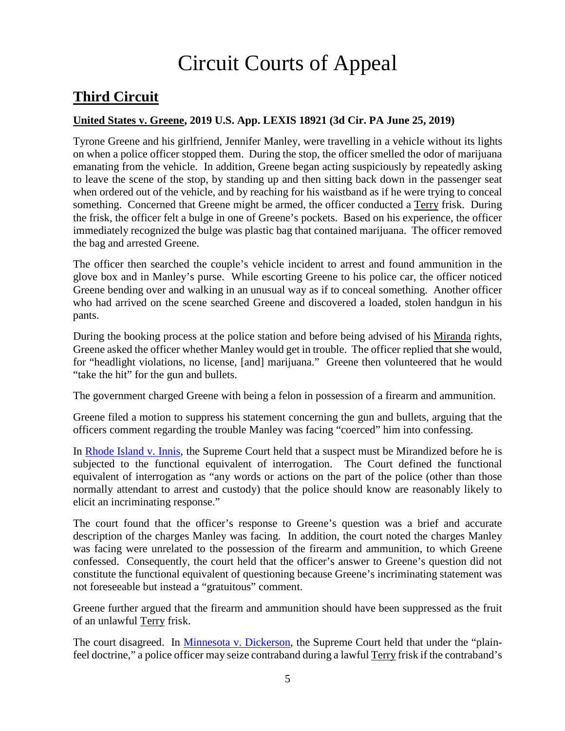# Circuit Courts of Appeal

## <span id="page-4-0"></span>**Third Circuit**

#### <span id="page-4-1"></span>**United States v. Greene, 2019 U.S. App. LEXIS 18921 (3d Cir. PA June 25, 2019)**

Tyrone Greene and his girlfriend, Jennifer Manley, were travelling in a vehicle without its lights on when a police officer stopped them. During the stop, the officer smelled the odor of marijuana emanating from the vehicle. In addition, Greene began acting suspiciously by repeatedly asking to leave the scene of the stop, by standing up and then sitting back down in the passenger seat when ordered out of the vehicle, and by reaching for his waistband as if he were trying to conceal something. Concerned that Greene might be armed, the officer conducted a Terry frisk. During the frisk, the officer felt a bulge in one of Greene's pockets. Based on his experience, the officer immediately recognized the bulge was plastic bag that contained marijuana. The officer removed the bag and arrested Greene.

The officer then searched the couple's vehicle incident to arrest and found ammunition in the glove box and in Manley's purse. While escorting Greene to his police car, the officer noticed Greene bending over and walking in an unusual way as if to conceal something. Another officer who had arrived on the scene searched Greene and discovered a loaded, stolen handgun in his pants.

During the booking process at the police station and before being advised of his Miranda rights, Greene asked the officer whether Manley would get in trouble. The officer replied that she would, for "headlight violations, no license, [and] marijuana." Greene then volunteered that he would "take the hit" for the gun and bullets.

The government charged Greene with being a felon in possession of a firearm and ammunition.

Greene filed a motion to suppress his statement concerning the gun and bullets, arguing that the officers comment regarding the trouble Manley was facing "coerced" him into confessing.

In [Rhode Island v. Innis,](https://supreme.justia.com/cases/federal/us/446/291/) the Supreme Court held that a suspect must be Mirandized before he is subjected to the functional equivalent of interrogation. The Court defined the functional equivalent of interrogation as "any words or actions on the part of the police (other than those normally attendant to arrest and custody) that the police should know are reasonably likely to elicit an incriminating response."

The court found that the officer's response to Greene's question was a brief and accurate description of the charges Manley was facing. In addition, the court noted the charges Manley was facing were unrelated to the possession of the firearm and ammunition, to which Greene confessed. Consequently, the court held that the officer's answer to Greene's question did not constitute the functional equivalent of questioning because Greene's incriminating statement was not foreseeable but instead a "gratuitous" comment.

Greene further argued that the firearm and ammunition should have been suppressed as the fruit of an unlawful Terry frisk.

The court disagreed. In [Minnesota v. Dickerson,](https://supreme.justia.com/cases/federal/us/508/366/) the Supreme Court held that under the "plainfeel doctrine," a police officer may seize contraband during a lawful Terry frisk if the contraband's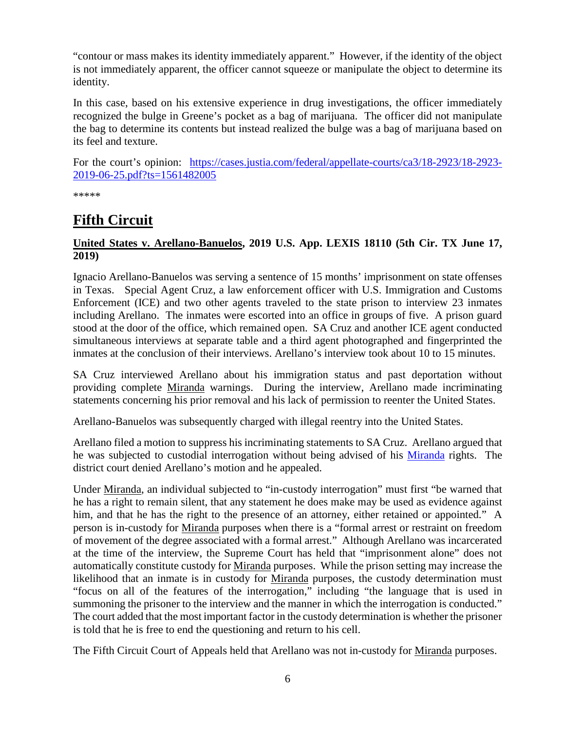"contour or mass makes its identity immediately apparent." However, if the identity of the object is not immediately apparent, the officer cannot squeeze or manipulate the object to determine its identity.

In this case, based on his extensive experience in drug investigations, the officer immediately recognized the bulge in Greene's pocket as a bag of marijuana. The officer did not manipulate the bag to determine its contents but instead realized the bulge was a bag of marijuana based on its feel and texture.

For the court's opinion: [https://cases.justia.com/federal/appellate-courts/ca3/18-2923/18-2923-](https://cases.justia.com/federal/appellate-courts/ca3/18-2923/18-2923-2019-06-25.pdf?ts=1561482005) [2019-06-25.pdf?ts=1561482005](https://cases.justia.com/federal/appellate-courts/ca3/18-2923/18-2923-2019-06-25.pdf?ts=1561482005)

\*\*\*\*\*

## <span id="page-5-0"></span>**Fifth Circuit**

## <span id="page-5-1"></span>**United States v. Arellano-Banuelos, 2019 U.S. App. LEXIS 18110 (5th Cir. TX June 17, 2019)**

Ignacio Arellano-Banuelos was serving a sentence of 15 months' imprisonment on state offenses in Texas. Special Agent Cruz, a law enforcement officer with U.S. Immigration and Customs Enforcement (ICE) and two other agents traveled to the state prison to interview 23 inmates including Arellano. The inmates were escorted into an office in groups of five. A prison guard stood at the door of the office, which remained open. SA Cruz and another ICE agent conducted simultaneous interviews at separate table and a third agent photographed and fingerprinted the inmates at the conclusion of their interviews. Arellano's interview took about 10 to 15 minutes.

SA Cruz interviewed Arellano about his immigration status and past deportation without providing complete Miranda warnings. During the interview, Arellano made incriminating statements concerning his prior removal and his lack of permission to reenter the United States.

Arellano-Banuelos was subsequently charged with illegal reentry into the United States.

Arellano filed a motion to suppress his incriminating statements to SA Cruz. Arellano argued that he was subjected to custodial interrogation without being advised of his [Miranda](https://supreme.justia.com/cases/federal/us/384/436/) rights. The district court denied Arellano's motion and he appealed.

Under Miranda, an individual subjected to "in-custody interrogation" must first "be warned that he has a right to remain silent, that any statement he does make may be used as evidence against him, and that he has the right to the presence of an attorney, either retained or appointed." A person is in-custody for Miranda purposes when there is a "formal arrest or restraint on freedom of movement of the degree associated with a formal arrest." Although Arellano was incarcerated at the time of the interview, the Supreme Court has held that "imprisonment alone" does not automatically constitute custody for Miranda purposes. While the prison setting may increase the likelihood that an inmate is in custody for Miranda purposes, the custody determination must "focus on all of the features of the interrogation," including "the language that is used in summoning the prisoner to the interview and the manner in which the interrogation is conducted." The court added that the most important factor in the custody determination is whether the prisoner is told that he is free to end the questioning and return to his cell.

The Fifth Circuit Court of Appeals held that Arellano was not in-custody for Miranda purposes.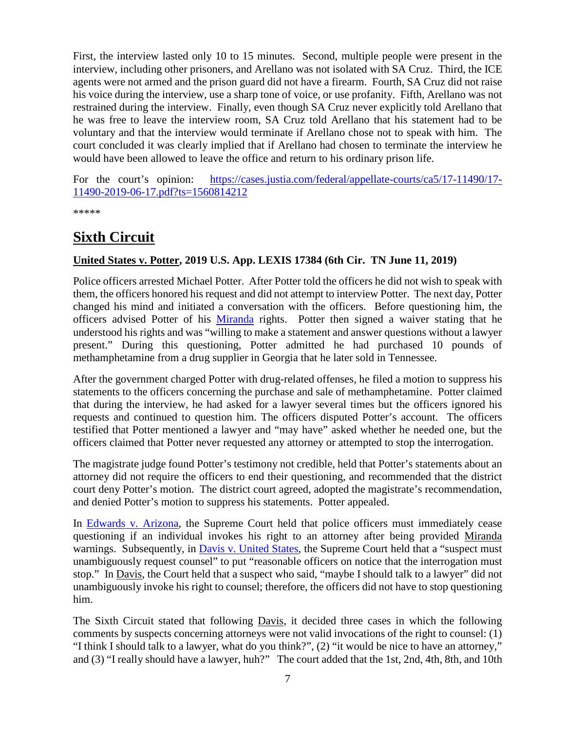First, the interview lasted only 10 to 15 minutes. Second, multiple people were present in the interview, including other prisoners, and Arellano was not isolated with SA Cruz. Third, the ICE agents were not armed and the prison guard did not have a firearm. Fourth, SA Cruz did not raise his voice during the interview, use a sharp tone of voice, or use profanity. Fifth, Arellano was not restrained during the interview. Finally, even though SA Cruz never explicitly told Arellano that he was free to leave the interview room, SA Cruz told Arellano that his statement had to be voluntary and that the interview would terminate if Arellano chose not to speak with him. The court concluded it was clearly implied that if Arellano had chosen to terminate the interview he would have been allowed to leave the office and return to his ordinary prison life.

For the court's opinion: [https://cases.justia.com/federal/appellate-courts/ca5/17-11490/17-](https://cases.justia.com/federal/appellate-courts/ca5/17-11490/17-11490-2019-06-17.pdf?ts=1560814212) [11490-2019-06-17.pdf?ts=1560814212](https://cases.justia.com/federal/appellate-courts/ca5/17-11490/17-11490-2019-06-17.pdf?ts=1560814212)

\*\*\*\*\*

## <span id="page-6-0"></span>**Sixth Circuit**

## <span id="page-6-1"></span>**United States v. Potter, 2019 U.S. App. LEXIS 17384 (6th Cir. TN June 11, 2019)**

Police officers arrested Michael Potter. After Potter told the officers he did not wish to speak with them, the officers honored his request and did not attempt to interview Potter. The next day, Potter changed his mind and initiated a conversation with the officers. Before questioning him, the officers advised Potter of his [Miranda](https://supreme.justia.com/cases/federal/us/384/436/) rights. Potter then signed a waiver stating that he understood his rights and was "willing to make a statement and answer questions without a lawyer present." During this questioning, Potter admitted he had purchased 10 pounds of methamphetamine from a drug supplier in Georgia that he later sold in Tennessee.

After the government charged Potter with drug-related offenses, he filed a motion to suppress his statements to the officers concerning the purchase and sale of methamphetamine. Potter claimed that during the interview, he had asked for a lawyer several times but the officers ignored his requests and continued to question him. The officers disputed Potter's account. The officers testified that Potter mentioned a lawyer and "may have" asked whether he needed one, but the officers claimed that Potter never requested any attorney or attempted to stop the interrogation.

The magistrate judge found Potter's testimony not credible, held that Potter's statements about an attorney did not require the officers to end their questioning, and recommended that the district court deny Potter's motion. The district court agreed, adopted the magistrate's recommendation, and denied Potter's motion to suppress his statements. Potter appealed.

In [Edwards v. Arizona,](https://supreme.justia.com/cases/federal/us/451/477/) the Supreme Court held that police officers must immediately cease questioning if an individual invokes his right to an attorney after being provided Miranda warnings. Subsequently, in [Davis v. United States,](https://supreme.justia.com/cases/federal/us/512/452/) the Supreme Court held that a "suspect must" unambiguously request counsel" to put "reasonable officers on notice that the interrogation must stop." In Davis, the Court held that a suspect who said, "maybe I should talk to a lawyer" did not unambiguously invoke his right to counsel; therefore, the officers did not have to stop questioning him.

The Sixth Circuit stated that following Davis, it decided three cases in which the following comments by suspects concerning attorneys were not valid invocations of the right to counsel: (1) "I think I should talk to a lawyer, what do you think?", (2) "it would be nice to have an attorney," and (3) "I really should have a lawyer, huh?" The court added that the 1st, 2nd, 4th, 8th, and 10th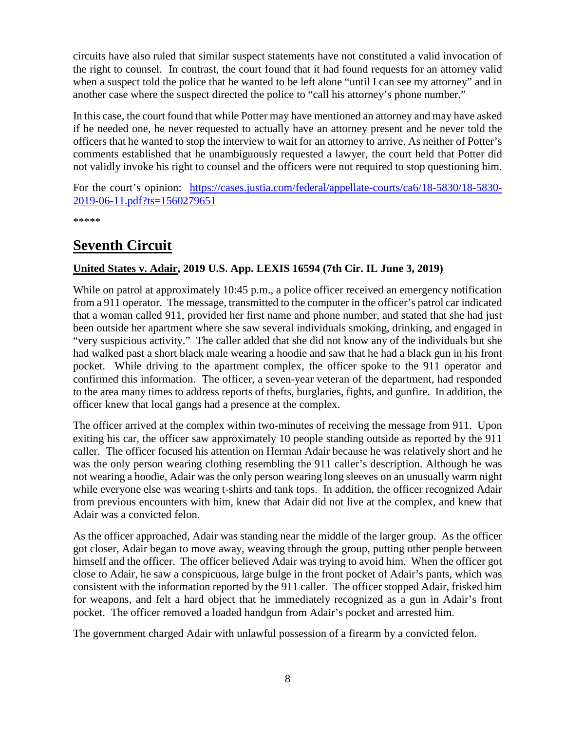circuits have also ruled that similar suspect statements have not constituted a valid invocation of the right to counsel. In contrast, the court found that it had found requests for an attorney valid when a suspect told the police that he wanted to be left alone "until I can see my attorney" and in another case where the suspect directed the police to "call his attorney's phone number."

In this case, the court found that while Potter may have mentioned an attorney and may have asked if he needed one, he never requested to actually have an attorney present and he never told the officers that he wanted to stop the interview to wait for an attorney to arrive. As neither of Potter's comments established that he unambiguously requested a lawyer, the court held that Potter did not validly invoke his right to counsel and the officers were not required to stop questioning him.

For the court's opinion: [https://cases.justia.com/federal/appellate-courts/ca6/18-5830/18-5830-](https://cases.justia.com/federal/appellate-courts/ca6/18-5830/18-5830-2019-06-11.pdf?ts=1560279651) [2019-06-11.pdf?ts=1560279651](https://cases.justia.com/federal/appellate-courts/ca6/18-5830/18-5830-2019-06-11.pdf?ts=1560279651)

\*\*\*\*\*

## <span id="page-7-0"></span>**Seventh Circuit**

#### <span id="page-7-1"></span>**United States v. Adair, 2019 U.S. App. LEXIS 16594 (7th Cir. IL June 3, 2019)**

While on patrol at approximately 10:45 p.m., a police officer received an emergency notification from a 911 operator. The message, transmitted to the computer in the officer's patrol car indicated that a woman called 911, provided her first name and phone number, and stated that she had just been outside her apartment where she saw several individuals smoking, drinking, and engaged in "very suspicious activity." The caller added that she did not know any of the individuals but she had walked past a short black male wearing a hoodie and saw that he had a black gun in his front pocket. While driving to the apartment complex, the officer spoke to the 911 operator and confirmed this information. The officer, a seven-year veteran of the department, had responded to the area many times to address reports of thefts, burglaries, fights, and gunfire. In addition, the officer knew that local gangs had a presence at the complex.

The officer arrived at the complex within two-minutes of receiving the message from 911. Upon exiting his car, the officer saw approximately 10 people standing outside as reported by the 911 caller. The officer focused his attention on Herman Adair because he was relatively short and he was the only person wearing clothing resembling the 911 caller's description. Although he was not wearing a hoodie, Adair was the only person wearing long sleeves on an unusually warm night while everyone else was wearing t-shirts and tank tops. In addition, the officer recognized Adair from previous encounters with him, knew that Adair did not live at the complex, and knew that Adair was a convicted felon.

As the officer approached, Adair was standing near the middle of the larger group. As the officer got closer, Adair began to move away, weaving through the group, putting other people between himself and the officer. The officer believed Adair was trying to avoid him. When the officer got close to Adair, he saw a conspicuous, large bulge in the front pocket of Adair's pants, which was consistent with the information reported by the 911 caller. The officer stopped Adair, frisked him for weapons, and felt a hard object that he immediately recognized as a gun in Adair's front pocket. The officer removed a loaded handgun from Adair's pocket and arrested him.

The government charged Adair with unlawful possession of a firearm by a convicted felon.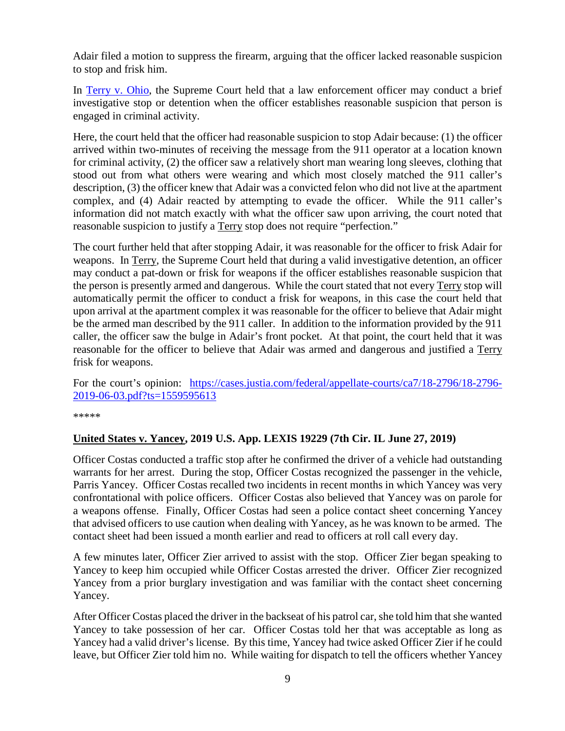Adair filed a motion to suppress the firearm, arguing that the officer lacked reasonable suspicion to stop and frisk him.

In [Terry v. Ohio,](https://supreme.justia.com/cases/federal/us/392/1/) the Supreme Court held that a law enforcement officer may conduct a brief investigative stop or detention when the officer establishes reasonable suspicion that person is engaged in criminal activity.

Here, the court held that the officer had reasonable suspicion to stop Adair because: (1) the officer arrived within two-minutes of receiving the message from the 911 operator at a location known for criminal activity, (2) the officer saw a relatively short man wearing long sleeves, clothing that stood out from what others were wearing and which most closely matched the 911 caller's description, (3) the officer knew that Adair was a convicted felon who did not live at the apartment complex, and (4) Adair reacted by attempting to evade the officer. While the 911 caller's information did not match exactly with what the officer saw upon arriving, the court noted that reasonable suspicion to justify a Terry stop does not require "perfection."

The court further held that after stopping Adair, it was reasonable for the officer to frisk Adair for weapons. In Terry, the Supreme Court held that during a valid investigative detention, an officer may conduct a pat-down or frisk for weapons if the officer establishes reasonable suspicion that the person is presently armed and dangerous. While the court stated that not every Terry stop will automatically permit the officer to conduct a frisk for weapons, in this case the court held that upon arrival at the apartment complex it was reasonable for the officer to believe that Adair might be the armed man described by the 911 caller. In addition to the information provided by the 911 caller, the officer saw the bulge in Adair's front pocket. At that point, the court held that it was reasonable for the officer to believe that Adair was armed and dangerous and justified a Terry frisk for weapons.

For the court's opinion: [https://cases.justia.com/federal/appellate-courts/ca7/18-2796/18-2796-](https://cases.justia.com/federal/appellate-courts/ca7/18-2796/18-2796-2019-06-03.pdf?ts=1559595613) [2019-06-03.pdf?ts=1559595613](https://cases.justia.com/federal/appellate-courts/ca7/18-2796/18-2796-2019-06-03.pdf?ts=1559595613)

\*\*\*\*\*

#### <span id="page-8-0"></span>**United States v. Yancey, 2019 U.S. App. LEXIS 19229 (7th Cir. IL June 27, 2019)**

Officer Costas conducted a traffic stop after he confirmed the driver of a vehicle had outstanding warrants for her arrest. During the stop, Officer Costas recognized the passenger in the vehicle, Parris Yancey. Officer Costas recalled two incidents in recent months in which Yancey was very confrontational with police officers. Officer Costas also believed that Yancey was on parole for a weapons offense. Finally, Officer Costas had seen a police contact sheet concerning Yancey that advised officers to use caution when dealing with Yancey, as he was known to be armed. The contact sheet had been issued a month earlier and read to officers at roll call every day.

A few minutes later, Officer Zier arrived to assist with the stop. Officer Zier began speaking to Yancey to keep him occupied while Officer Costas arrested the driver. Officer Zier recognized Yancey from a prior burglary investigation and was familiar with the contact sheet concerning Yancey.

After Officer Costas placed the driver in the backseat of his patrol car, she told him that she wanted Yancey to take possession of her car. Officer Costas told her that was acceptable as long as Yancey had a valid driver's license. By this time, Yancey had twice asked Officer Zier if he could leave, but Officer Zier told him no. While waiting for dispatch to tell the officers whether Yancey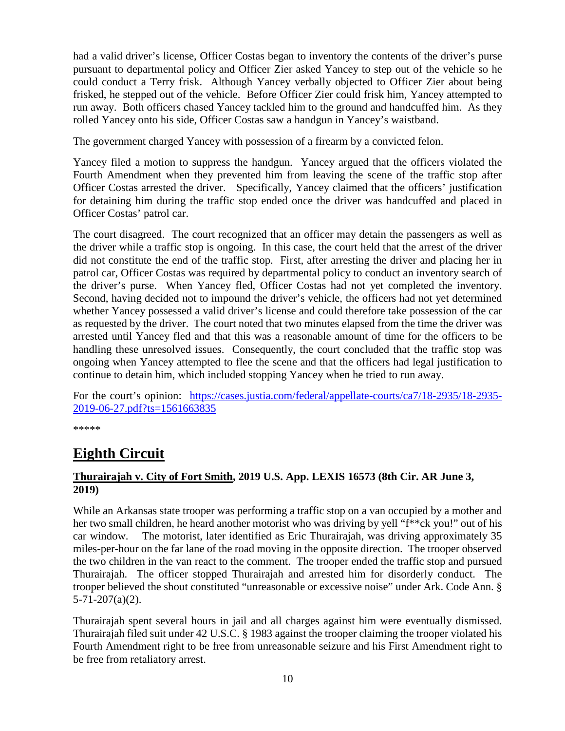had a valid driver's license, Officer Costas began to inventory the contents of the driver's purse pursuant to departmental policy and Officer Zier asked Yancey to step out of the vehicle so he could conduct a Terry frisk. Although Yancey verbally objected to Officer Zier about being frisked, he stepped out of the vehicle. Before Officer Zier could frisk him, Yancey attempted to run away. Both officers chased Yancey tackled him to the ground and handcuffed him. As they rolled Yancey onto his side, Officer Costas saw a handgun in Yancey's waistband.

The government charged Yancey with possession of a firearm by a convicted felon.

Yancey filed a motion to suppress the handgun. Yancey argued that the officers violated the Fourth Amendment when they prevented him from leaving the scene of the traffic stop after Officer Costas arrested the driver. Specifically, Yancey claimed that the officers' justification for detaining him during the traffic stop ended once the driver was handcuffed and placed in Officer Costas' patrol car.

The court disagreed. The court recognized that an officer may detain the passengers as well as the driver while a traffic stop is ongoing. In this case, the court held that the arrest of the driver did not constitute the end of the traffic stop. First, after arresting the driver and placing her in patrol car, Officer Costas was required by departmental policy to conduct an inventory search of the driver's purse. When Yancey fled, Officer Costas had not yet completed the inventory. Second, having decided not to impound the driver's vehicle, the officers had not yet determined whether Yancey possessed a valid driver's license and could therefore take possession of the car as requested by the driver. The court noted that two minutes elapsed from the time the driver was arrested until Yancey fled and that this was a reasonable amount of time for the officers to be handling these unresolved issues. Consequently, the court concluded that the traffic stop was ongoing when Yancey attempted to flee the scene and that the officers had legal justification to continue to detain him, which included stopping Yancey when he tried to run away.

For the court's opinion: [https://cases.justia.com/federal/appellate-courts/ca7/18-2935/18-2935-](https://cases.justia.com/federal/appellate-courts/ca7/18-2935/18-2935-2019-06-27.pdf?ts=1561663835) [2019-06-27.pdf?ts=1561663835](https://cases.justia.com/federal/appellate-courts/ca7/18-2935/18-2935-2019-06-27.pdf?ts=1561663835)

\*\*\*\*\*

## <span id="page-9-0"></span>**Eighth Circuit**

## <span id="page-9-1"></span>**Thurairajah v. City of Fort Smith, 2019 U.S. App. LEXIS 16573 (8th Cir. AR June 3, 2019)**

While an Arkansas state trooper was performing a traffic stop on a van occupied by a mother and her two small children, he heard another motorist who was driving by yell "f\*\*ck you!" out of his car window. The motorist, later identified as Eric Thurairajah, was driving approximately 35 miles-per-hour on the far lane of the road moving in the opposite direction. The trooper observed the two children in the van react to the comment. The trooper ended the traffic stop and pursued Thurairajah. The officer stopped Thurairajah and arrested him for disorderly conduct. The trooper believed the shout constituted "unreasonable or excessive noise" under Ark. Code Ann. §  $5 - 71 - 207(a)(2)$ .

Thurairajah spent several hours in jail and all charges against him were eventually dismissed. Thurairajah filed suit under 42 U.S.C. § 1983 against the trooper claiming the trooper violated his Fourth Amendment right to be free from unreasonable seizure and his First Amendment right to be free from retaliatory arrest.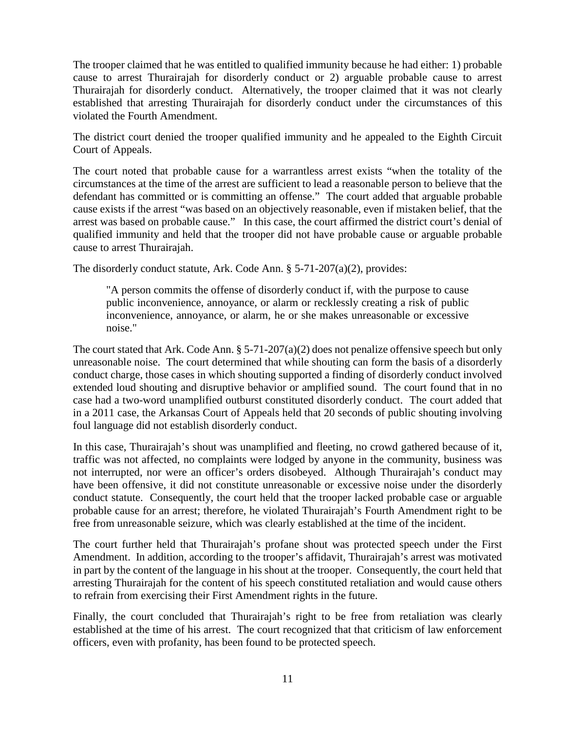The trooper claimed that he was entitled to qualified immunity because he had either: 1) probable cause to arrest Thurairajah for disorderly conduct or 2) arguable probable cause to arrest Thurairajah for disorderly conduct. Alternatively, the trooper claimed that it was not clearly established that arresting Thurairajah for disorderly conduct under the circumstances of this violated the Fourth Amendment.

The district court denied the trooper qualified immunity and he appealed to the Eighth Circuit Court of Appeals.

The court noted that probable cause for a warrantless arrest exists "when the totality of the circumstances at the time of the arrest are sufficient to lead a reasonable person to believe that the defendant has committed or is committing an offense." The court added that arguable probable cause exists if the arrest "was based on an objectively reasonable, even if mistaken belief, that the arrest was based on probable cause." In this case, the court affirmed the district court's denial of qualified immunity and held that the trooper did not have probable cause or arguable probable cause to arrest Thurairajah.

The disorderly conduct statute, Ark. Code Ann. § 5-71-207(a)(2), provides:

"A person commits the offense of disorderly conduct if, with the purpose to cause public inconvenience, annoyance, or alarm or recklessly creating a risk of public inconvenience, annoyance, or alarm, he or she makes unreasonable or excessive noise."

The court stated that Ark. Code Ann. § 5-71-207(a)(2) does not penalize offensive speech but only unreasonable noise. The court determined that while shouting can form the basis of a disorderly conduct charge, those cases in which shouting supported a finding of disorderly conduct involved extended loud shouting and disruptive behavior or amplified sound. The court found that in no case had a two-word unamplified outburst constituted disorderly conduct. The court added that in a 2011 case, the Arkansas Court of Appeals held that 20 seconds of public shouting involving foul language did not establish disorderly conduct.

In this case, Thurairajah's shout was unamplified and fleeting, no crowd gathered because of it, traffic was not affected, no complaints were lodged by anyone in the community, business was not interrupted, nor were an officer's orders disobeyed. Although Thurairajah's conduct may have been offensive, it did not constitute unreasonable or excessive noise under the disorderly conduct statute. Consequently, the court held that the trooper lacked probable case or arguable probable cause for an arrest; therefore, he violated Thurairajah's Fourth Amendment right to be free from unreasonable seizure, which was clearly established at the time of the incident.

The court further held that Thurairajah's profane shout was protected speech under the First Amendment. In addition, according to the trooper's affidavit, Thurairajah's arrest was motivated in part by the content of the language in his shout at the trooper. Consequently, the court held that arresting Thurairajah for the content of his speech constituted retaliation and would cause others to refrain from exercising their First Amendment rights in the future.

Finally, the court concluded that Thurairajah's right to be free from retaliation was clearly established at the time of his arrest. The court recognized that that criticism of law enforcement officers, even with profanity, has been found to be protected speech.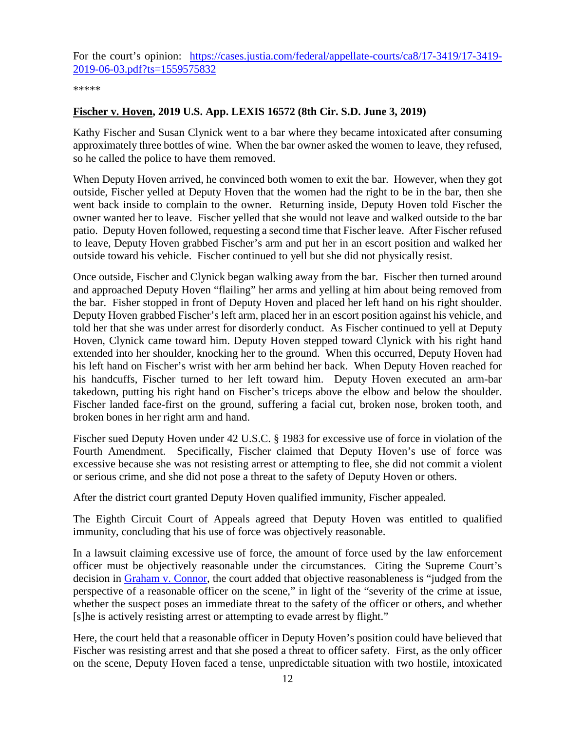For the court's opinion: [https://cases.justia.com/federal/appellate-courts/ca8/17-3419/17-3419-](https://cases.justia.com/federal/appellate-courts/ca8/17-3419/17-3419-2019-06-03.pdf?ts=1559575832) [2019-06-03.pdf?ts=1559575832](https://cases.justia.com/federal/appellate-courts/ca8/17-3419/17-3419-2019-06-03.pdf?ts=1559575832)

\*\*\*\*\*

#### <span id="page-11-0"></span>**Fischer v. Hoven, 2019 U.S. App. LEXIS 16572 (8th Cir. S.D. June 3, 2019)**

Kathy Fischer and Susan Clynick went to a bar where they became intoxicated after consuming approximately three bottles of wine. When the bar owner asked the women to leave, they refused, so he called the police to have them removed.

When Deputy Hoven arrived, he convinced both women to exit the bar. However, when they got outside, Fischer yelled at Deputy Hoven that the women had the right to be in the bar, then she went back inside to complain to the owner. Returning inside, Deputy Hoven told Fischer the owner wanted her to leave. Fischer yelled that she would not leave and walked outside to the bar patio. Deputy Hoven followed, requesting a second time that Fischer leave. After Fischer refused to leave, Deputy Hoven grabbed Fischer's arm and put her in an escort position and walked her outside toward his vehicle. Fischer continued to yell but she did not physically resist.

Once outside, Fischer and Clynick began walking away from the bar. Fischer then turned around and approached Deputy Hoven "flailing" her arms and yelling at him about being removed from the bar. Fisher stopped in front of Deputy Hoven and placed her left hand on his right shoulder. Deputy Hoven grabbed Fischer's left arm, placed her in an escort position against his vehicle, and told her that she was under arrest for disorderly conduct. As Fischer continued to yell at Deputy Hoven, Clynick came toward him. Deputy Hoven stepped toward Clynick with his right hand extended into her shoulder, knocking her to the ground. When this occurred, Deputy Hoven had his left hand on Fischer's wrist with her arm behind her back. When Deputy Hoven reached for his handcuffs, Fischer turned to her left toward him. Deputy Hoven executed an arm-bar takedown, putting his right hand on Fischer's triceps above the elbow and below the shoulder. Fischer landed face-first on the ground, suffering a facial cut, broken nose, broken tooth, and broken bones in her right arm and hand.

Fischer sued Deputy Hoven under 42 U.S.C. § 1983 for excessive use of force in violation of the Fourth Amendment. Specifically, Fischer claimed that Deputy Hoven's use of force was excessive because she was not resisting arrest or attempting to flee, she did not commit a violent or serious crime, and she did not pose a threat to the safety of Deputy Hoven or others.

After the district court granted Deputy Hoven qualified immunity, Fischer appealed.

The Eighth Circuit Court of Appeals agreed that Deputy Hoven was entitled to qualified immunity, concluding that his use of force was objectively reasonable.

In a lawsuit claiming excessive use of force, the amount of force used by the law enforcement officer must be objectively reasonable under the circumstances. Citing the Supreme Court's decision in [Graham v. Connor,](https://supreme.justia.com/cases/federal/us/490/386/) the court added that objective reasonableness is "judged from the perspective of a reasonable officer on the scene," in light of the "severity of the crime at issue, whether the suspect poses an immediate threat to the safety of the officer or others, and whether [s]he is actively resisting arrest or attempting to evade arrest by flight."

Here, the court held that a reasonable officer in Deputy Hoven's position could have believed that Fischer was resisting arrest and that she posed a threat to officer safety. First, as the only officer on the scene, Deputy Hoven faced a tense, unpredictable situation with two hostile, intoxicated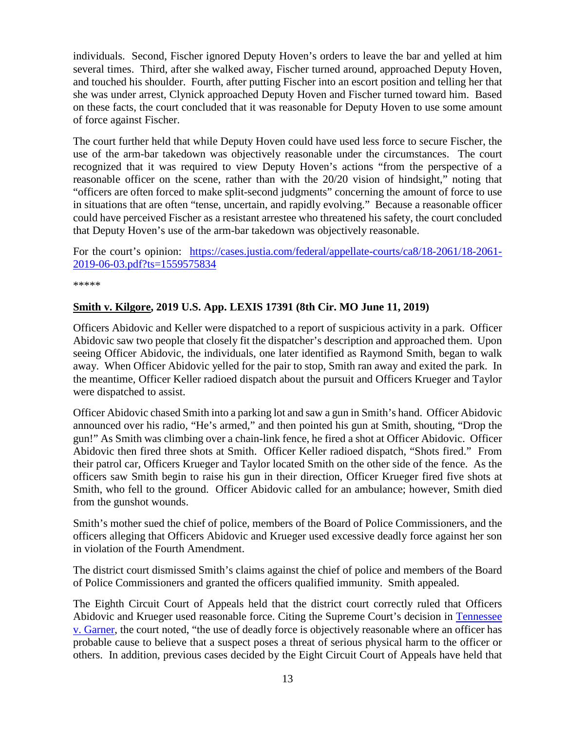individuals. Second, Fischer ignored Deputy Hoven's orders to leave the bar and yelled at him several times. Third, after she walked away, Fischer turned around, approached Deputy Hoven, and touched his shoulder. Fourth, after putting Fischer into an escort position and telling her that she was under arrest, Clynick approached Deputy Hoven and Fischer turned toward him. Based on these facts, the court concluded that it was reasonable for Deputy Hoven to use some amount of force against Fischer.

The court further held that while Deputy Hoven could have used less force to secure Fischer, the use of the arm-bar takedown was objectively reasonable under the circumstances. The court recognized that it was required to view Deputy Hoven's actions "from the perspective of a reasonable officer on the scene, rather than with the 20/20 vision of hindsight," noting that "officers are often forced to make split-second judgments" concerning the amount of force to use in situations that are often "tense, uncertain, and rapidly evolving." Because a reasonable officer could have perceived Fischer as a resistant arrestee who threatened his safety, the court concluded that Deputy Hoven's use of the arm-bar takedown was objectively reasonable.

For the court's opinion: [https://cases.justia.com/federal/appellate-courts/ca8/18-2061/18-2061-](https://cases.justia.com/federal/appellate-courts/ca8/18-2061/18-2061-2019-06-03.pdf?ts=1559575834) [2019-06-03.pdf?ts=1559575834](https://cases.justia.com/federal/appellate-courts/ca8/18-2061/18-2061-2019-06-03.pdf?ts=1559575834)

\*\*\*\*\*

#### <span id="page-12-0"></span>**Smith v. Kilgore, 2019 U.S. App. LEXIS 17391 (8th Cir. MO June 11, 2019)**

Officers Abidovic and Keller were dispatched to a report of suspicious activity in a park. Officer Abidovic saw two people that closely fit the dispatcher's description and approached them. Upon seeing Officer Abidovic, the individuals, one later identified as Raymond Smith, began to walk away. When Officer Abidovic yelled for the pair to stop, Smith ran away and exited the park. In the meantime, Officer Keller radioed dispatch about the pursuit and Officers Krueger and Taylor were dispatched to assist.

Officer Abidovic chased Smith into a parking lot and saw a gun in Smith's hand. Officer Abidovic announced over his radio, "He's armed," and then pointed his gun at Smith, shouting, "Drop the gun!" As Smith was climbing over a chain-link fence, he fired a shot at Officer Abidovic. Officer Abidovic then fired three shots at Smith. Officer Keller radioed dispatch, "Shots fired." From their patrol car, Officers Krueger and Taylor located Smith on the other side of the fence. As the officers saw Smith begin to raise his gun in their direction, Officer Krueger fired five shots at Smith, who fell to the ground. Officer Abidovic called for an ambulance; however, Smith died from the gunshot wounds.

Smith's mother sued the chief of police, members of the Board of Police Commissioners, and the officers alleging that Officers Abidovic and Krueger used excessive deadly force against her son in violation of the Fourth Amendment.

The district court dismissed Smith's claims against the chief of police and members of the Board of Police Commissioners and granted the officers qualified immunity. Smith appealed.

The Eighth Circuit Court of Appeals held that the district court correctly ruled that Officers Abidovic and Krueger used reasonable force. Citing the Supreme Court's decision in [Tennessee](https://supreme.justia.com/cases/federal/us/471/1/)  [v. Garner,](https://supreme.justia.com/cases/federal/us/471/1/) the court noted, "the use of deadly force is objectively reasonable where an officer has probable cause to believe that a suspect poses a threat of serious physical harm to the officer or others. In addition, previous cases decided by the Eight Circuit Court of Appeals have held that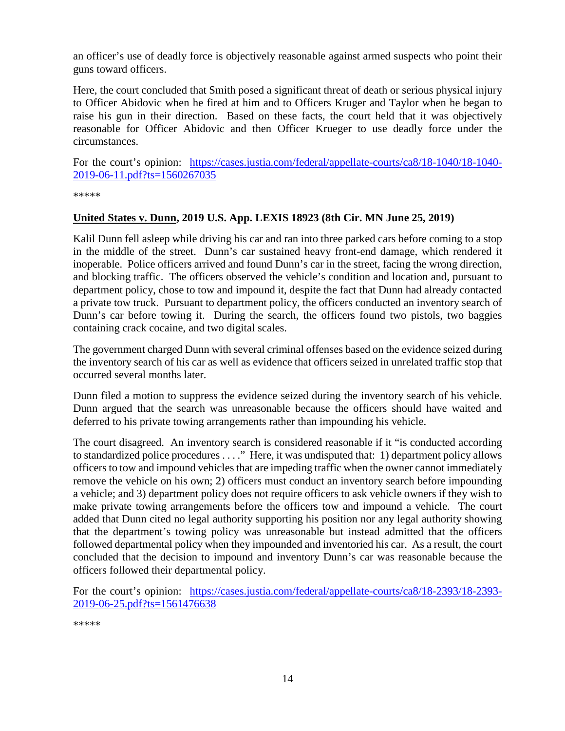an officer's use of deadly force is objectively reasonable against armed suspects who point their guns toward officers.

Here, the court concluded that Smith posed a significant threat of death or serious physical injury to Officer Abidovic when he fired at him and to Officers Kruger and Taylor when he began to raise his gun in their direction. Based on these facts, the court held that it was objectively reasonable for Officer Abidovic and then Officer Krueger to use deadly force under the circumstances.

For the court's opinion: [https://cases.justia.com/federal/appellate-courts/ca8/18-1040/18-1040-](https://cases.justia.com/federal/appellate-courts/ca8/18-1040/18-1040-2019-06-11.pdf?ts=1560267035) [2019-06-11.pdf?ts=1560267035](https://cases.justia.com/federal/appellate-courts/ca8/18-1040/18-1040-2019-06-11.pdf?ts=1560267035)

\*\*\*\*\*

#### <span id="page-13-0"></span>**United States v. Dunn, 2019 U.S. App. LEXIS 18923 (8th Cir. MN June 25, 2019)**

Kalil Dunn fell asleep while driving his car and ran into three parked cars before coming to a stop in the middle of the street. Dunn's car sustained heavy front-end damage, which rendered it inoperable. Police officers arrived and found Dunn's car in the street, facing the wrong direction, and blocking traffic. The officers observed the vehicle's condition and location and, pursuant to department policy, chose to tow and impound it, despite the fact that Dunn had already contacted a private tow truck. Pursuant to department policy, the officers conducted an inventory search of Dunn's car before towing it. During the search, the officers found two pistols, two baggies containing crack cocaine, and two digital scales.

The government charged Dunn with several criminal offenses based on the evidence seized during the inventory search of his car as well as evidence that officers seized in unrelated traffic stop that occurred several months later.

Dunn filed a motion to suppress the evidence seized during the inventory search of his vehicle. Dunn argued that the search was unreasonable because the officers should have waited and deferred to his private towing arrangements rather than impounding his vehicle.

The court disagreed. An inventory search is considered reasonable if it "is conducted according to standardized police procedures . . . ." Here, it was undisputed that: 1) department policy allows officers to tow and impound vehicles that are impeding traffic when the owner cannot immediately remove the vehicle on his own; 2) officers must conduct an inventory search before impounding a vehicle; and 3) department policy does not require officers to ask vehicle owners if they wish to make private towing arrangements before the officers tow and impound a vehicle. The court added that Dunn cited no legal authority supporting his position nor any legal authority showing that the department's towing policy was unreasonable but instead admitted that the officers followed departmental policy when they impounded and inventoried his car. As a result, the court concluded that the decision to impound and inventory Dunn's car was reasonable because the officers followed their departmental policy.

For the court's opinion: [https://cases.justia.com/federal/appellate-courts/ca8/18-2393/18-2393-](https://cases.justia.com/federal/appellate-courts/ca8/18-2393/18-2393-2019-06-25.pdf?ts=1561476638) [2019-06-25.pdf?ts=1561476638](https://cases.justia.com/federal/appellate-courts/ca8/18-2393/18-2393-2019-06-25.pdf?ts=1561476638)

\*\*\*\*\*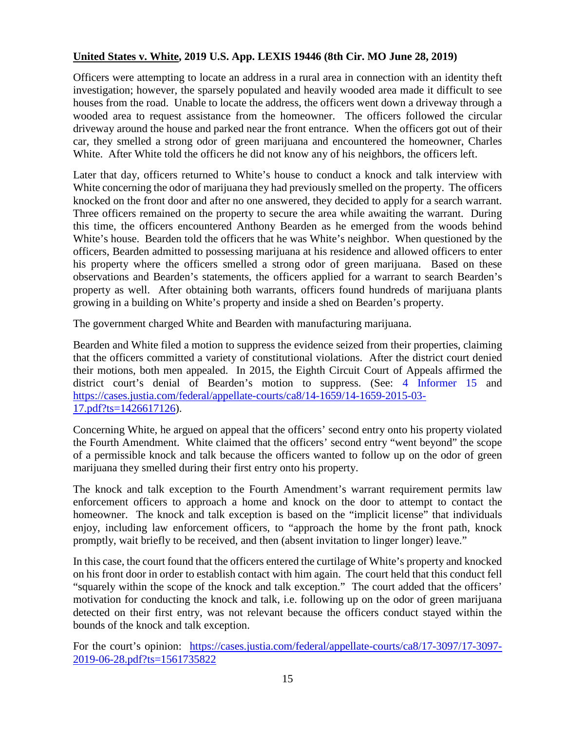## <span id="page-14-0"></span>**United States v. White, 2019 U.S. App. LEXIS 19446 (8th Cir. MO June 28, 2019)**

Officers were attempting to locate an address in a rural area in connection with an identity theft investigation; however, the sparsely populated and heavily wooded area made it difficult to see houses from the road. Unable to locate the address, the officers went down a driveway through a wooded area to request assistance from the homeowner. The officers followed the circular driveway around the house and parked near the front entrance. When the officers got out of their car, they smelled a strong odor of green marijuana and encountered the homeowner, Charles White. After White told the officers he did not know any of his neighbors, the officers left.

Later that day, officers returned to White's house to conduct a knock and talk interview with White concerning the odor of marijuana they had previously smelled on the property. The officers knocked on the front door and after no one answered, they decided to apply for a search warrant. Three officers remained on the property to secure the area while awaiting the warrant. During this time, the officers encountered Anthony Bearden as he emerged from the woods behind White's house. Bearden told the officers that he was White's neighbor. When questioned by the officers, Bearden admitted to possessing marijuana at his residence and allowed officers to enter his property where the officers smelled a strong odor of green marijuana. Based on these observations and Bearden's statements, the officers applied for a warrant to search Bearden's property as well. After obtaining both warrants, officers found hundreds of marijuana plants growing in a building on White's property and inside a shed on Bearden's property.

The government charged White and Bearden with manufacturing marijuana.

Bearden and White filed a motion to suppress the evidence seized from their properties, claiming that the officers committed a variety of constitutional violations. After the district court denied their motions, both men appealed. In 2015, the Eighth Circuit Court of Appeals affirmed the district court's denial of Bearden's motion to suppress. (See: [4 Informer 15](https://www.fletc.gov/sites/default/files/4Informer15.pdf) and [https://cases.justia.com/federal/appellate-courts/ca8/14-1659/14-1659-2015-03-](https://cases.justia.com/federal/appellate-courts/ca8/14-1659/14-1659-2015-03-17.pdf?ts=1426617126) [17.pdf?ts=1426617126\)](https://cases.justia.com/federal/appellate-courts/ca8/14-1659/14-1659-2015-03-17.pdf?ts=1426617126).

Concerning White, he argued on appeal that the officers' second entry onto his property violated the Fourth Amendment. White claimed that the officers' second entry "went beyond" the scope of a permissible knock and talk because the officers wanted to follow up on the odor of green marijuana they smelled during their first entry onto his property.

The knock and talk exception to the Fourth Amendment's warrant requirement permits law enforcement officers to approach a home and knock on the door to attempt to contact the homeowner. The knock and talk exception is based on the "implicit license" that individuals enjoy, including law enforcement officers, to "approach the home by the front path, knock promptly, wait briefly to be received, and then (absent invitation to linger longer) leave."

In this case, the court found that the officers entered the curtilage of White's property and knocked on his front door in order to establish contact with him again. The court held that this conduct fell "squarely within the scope of the knock and talk exception." The court added that the officers' motivation for conducting the knock and talk, i.e. following up on the odor of green marijuana detected on their first entry, was not relevant because the officers conduct stayed within the bounds of the knock and talk exception.

For the court's opinion: [https://cases.justia.com/federal/appellate-courts/ca8/17-3097/17-3097-](https://cases.justia.com/federal/appellate-courts/ca8/17-3097/17-3097-2019-06-28.pdf?ts=1561735822) [2019-06-28.pdf?ts=1561735822](https://cases.justia.com/federal/appellate-courts/ca8/17-3097/17-3097-2019-06-28.pdf?ts=1561735822)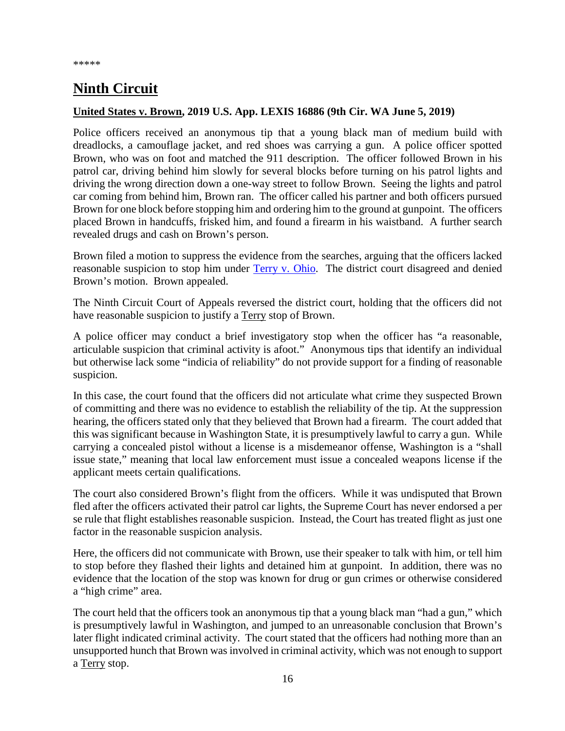## <span id="page-15-0"></span>**Ninth Circuit**

#### <span id="page-15-1"></span>**United States v. Brown, 2019 U.S. App. LEXIS 16886 (9th Cir. WA June 5, 2019)**

Police officers received an anonymous tip that a young black man of medium build with dreadlocks, a camouflage jacket, and red shoes was carrying a gun. A police officer spotted Brown, who was on foot and matched the 911 description. The officer followed Brown in his patrol car, driving behind him slowly for several blocks before turning on his patrol lights and driving the wrong direction down a one-way street to follow Brown. Seeing the lights and patrol car coming from behind him, Brown ran. The officer called his partner and both officers pursued Brown for one block before stopping him and ordering him to the ground at gunpoint. The officers placed Brown in handcuffs, frisked him, and found a firearm in his waistband. A further search revealed drugs and cash on Brown's person.

Brown filed a motion to suppress the evidence from the searches, arguing that the officers lacked reasonable suspicion to stop him under [Terry v. Ohio.](https://supreme.justia.com/cases/federal/us/392/1/) The district court disagreed and denied Brown's motion. Brown appealed.

The Ninth Circuit Court of Appeals reversed the district court, holding that the officers did not have reasonable suspicion to justify a Terry stop of Brown.

A police officer may conduct a brief investigatory stop when the officer has "a reasonable, articulable suspicion that criminal activity is afoot." Anonymous tips that identify an individual but otherwise lack some "indicia of reliability" do not provide support for a finding of reasonable suspicion.

In this case, the court found that the officers did not articulate what crime they suspected Brown of committing and there was no evidence to establish the reliability of the tip. At the suppression hearing, the officers stated only that they believed that Brown had a firearm. The court added that this was significant because in Washington State, it is presumptively lawful to carry a gun. While carrying a concealed pistol without a license is a misdemeanor offense, Washington is a "shall issue state," meaning that local law enforcement must issue a concealed weapons license if the applicant meets certain qualifications.

The court also considered Brown's flight from the officers. While it was undisputed that Brown fled after the officers activated their patrol car lights, the Supreme Court has never endorsed a per se rule that flight establishes reasonable suspicion. Instead, the Court has treated flight as just one factor in the reasonable suspicion analysis.

Here, the officers did not communicate with Brown, use their speaker to talk with him, or tell him to stop before they flashed their lights and detained him at gunpoint. In addition, there was no evidence that the location of the stop was known for drug or gun crimes or otherwise considered a "high crime" area.

The court held that the officers took an anonymous tip that a young black man "had a gun," which is presumptively lawful in Washington, and jumped to an unreasonable conclusion that Brown's later flight indicated criminal activity. The court stated that the officers had nothing more than an unsupported hunch that Brown was involved in criminal activity, which was not enough to support a Terry stop.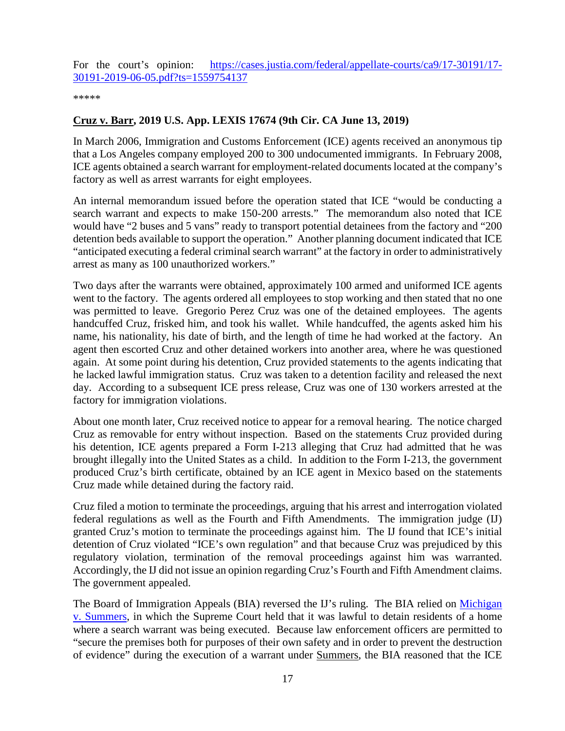For the court's opinion: [https://cases.justia.com/federal/appellate-courts/ca9/17-30191/17-](https://cases.justia.com/federal/appellate-courts/ca9/17-30191/17-30191-2019-06-05.pdf?ts=1559754137) [30191-2019-06-05.pdf?ts=1559754137](https://cases.justia.com/federal/appellate-courts/ca9/17-30191/17-30191-2019-06-05.pdf?ts=1559754137)

\*\*\*\*\*

#### <span id="page-16-0"></span>**Cruz v. Barr, 2019 U.S. App. LEXIS 17674 (9th Cir. CA June 13, 2019)**

In March 2006, Immigration and Customs Enforcement (ICE) agents received an anonymous tip that a Los Angeles company employed 200 to 300 undocumented immigrants. In February 2008, ICE agents obtained a search warrant for employment-related documents located at the company's factory as well as arrest warrants for eight employees.

An internal memorandum issued before the operation stated that ICE "would be conducting a search warrant and expects to make 150-200 arrests." The memorandum also noted that ICE would have "2 buses and 5 vans" ready to transport potential detainees from the factory and "200 detention beds available to support the operation." Another planning document indicated that ICE "anticipated executing a federal criminal search warrant" at the factory in order to administratively arrest as many as 100 unauthorized workers."

Two days after the warrants were obtained, approximately 100 armed and uniformed ICE agents went to the factory. The agents ordered all employees to stop working and then stated that no one was permitted to leave. Gregorio Perez Cruz was one of the detained employees. The agents handcuffed Cruz, frisked him, and took his wallet. While handcuffed, the agents asked him his name, his nationality, his date of birth, and the length of time he had worked at the factory. An agent then escorted Cruz and other detained workers into another area, where he was questioned again. At some point during his detention, Cruz provided statements to the agents indicating that he lacked lawful immigration status. Cruz was taken to a detention facility and released the next day. According to a subsequent ICE press release, Cruz was one of 130 workers arrested at the factory for immigration violations.

About one month later, Cruz received notice to appear for a removal hearing. The notice charged Cruz as removable for entry without inspection. Based on the statements Cruz provided during his detention, ICE agents prepared a Form I-213 alleging that Cruz had admitted that he was brought illegally into the United States as a child. In addition to the Form I-213, the government produced Cruz's birth certificate, obtained by an ICE agent in Mexico based on the statements Cruz made while detained during the factory raid.

Cruz filed a motion to terminate the proceedings, arguing that his arrest and interrogation violated federal regulations as well as the Fourth and Fifth Amendments. The immigration judge (IJ) granted Cruz's motion to terminate the proceedings against him. The IJ found that ICE's initial detention of Cruz violated "ICE's own regulation" and that because Cruz was prejudiced by this regulatory violation, termination of the removal proceedings against him was warranted. Accordingly, the IJ did not issue an opinion regarding Cruz's Fourth and Fifth Amendment claims. The government appealed.

The Board of Immigration Appeals (BIA) reversed the IJ's ruling. The BIA relied on Michigan [v. Summers,](https://supreme.justia.com/cases/federal/us/452/692/) in which the Supreme Court held that it was lawful to detain residents of a home where a search warrant was being executed. Because law enforcement officers are permitted to "secure the premises both for purposes of their own safety and in order to prevent the destruction of evidence" during the execution of a warrant under Summers, the BIA reasoned that the ICE